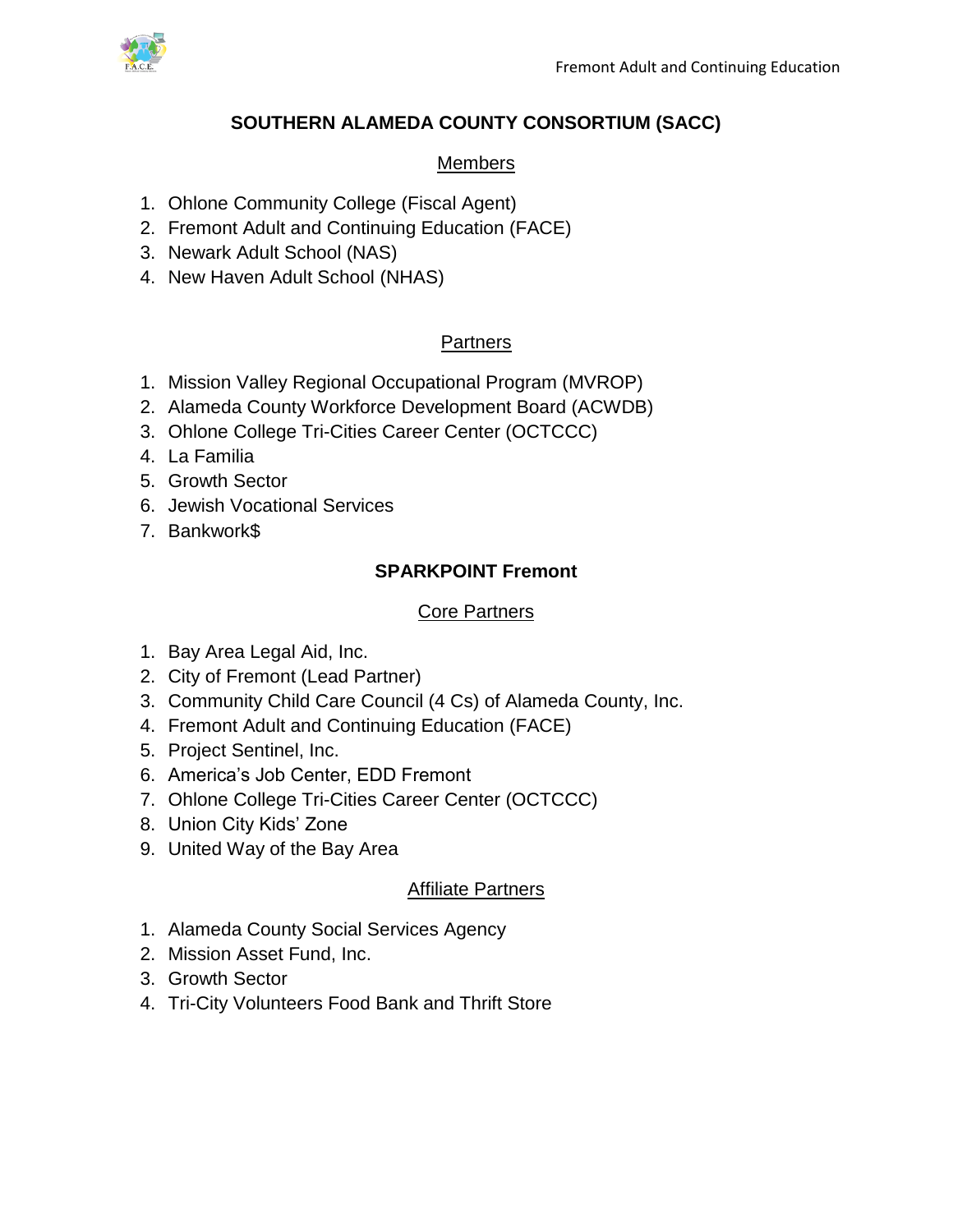

## **SOUTHERN ALAMEDA COUNTY CONSORTIUM (SACC)**

### Members

- 1. Ohlone Community College (Fiscal Agent)
- 2. Fremont Adult and Continuing Education (FACE)
- 3. Newark Adult School (NAS)
- 4. New Haven Adult School (NHAS)

## **Partners**

- 1. Mission Valley Regional Occupational Program (MVROP)
- 2. Alameda County Workforce Development Board (ACWDB)
- 3. Ohlone College Tri-Cities Career Center (OCTCCC)
- 4. La Familia
- 5. Growth Sector
- 6. Jewish Vocational Services
- 7. Bankwork\$

# **SPARKPOINT Fremont**

### **Core Partners**

- 1. Bay Area Legal Aid, Inc.
- 2. City of Fremont (Lead Partner)
- 3. Community Child Care Council (4 Cs) of Alameda County, Inc.
- 4. Fremont Adult and Continuing Education (FACE)
- 5. Project Sentinel, Inc.
- 6. America's Job Center, EDD Fremont
- 7. Ohlone College Tri-Cities Career Center (OCTCCC)
- 8. Union City Kids' Zone
- 9. United Way of the Bay Area

## Affiliate Partners

- 1. Alameda County Social Services Agency
- 2. Mission Asset Fund, Inc.
- 3. Growth Sector
- 4. Tri-City Volunteers Food Bank and Thrift Store